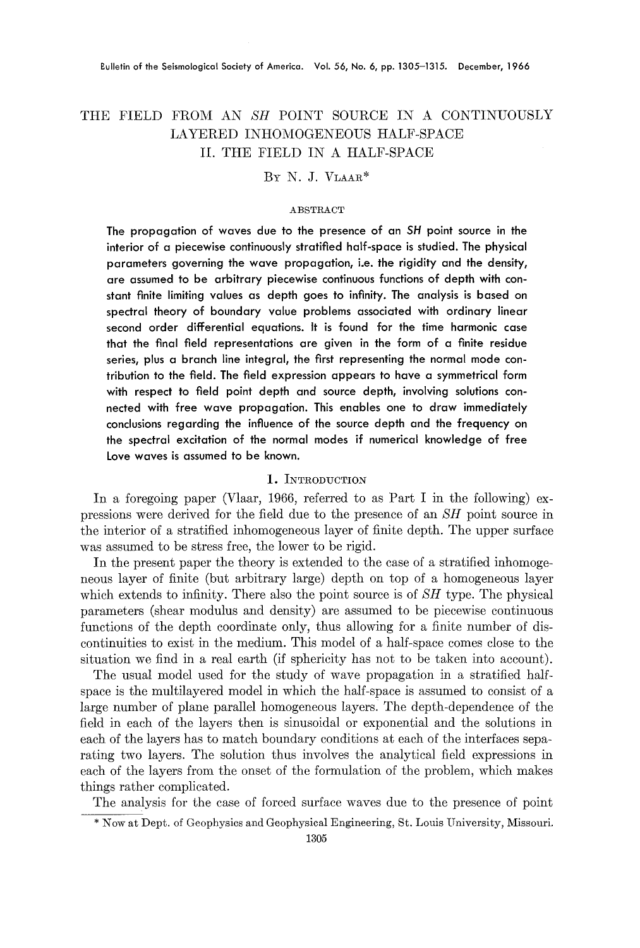# THE FIELD FROM AN *SH* POINT SOURCE IN A CONTINUOUSLY LAYERED INHOMOGENEOUS HALF-SPACE II. THE FIELD IN A HALF-SPACE

BY N. J. VLAAR\*

#### ABSTRACT

The propagation of waves due to the presence of an *SH* point source in the interior of a piecewise continuously stratified half-space is studied. The physical parameters governing the wave propagation, i.e. the rigidity and the density, are assumed to be arbitrary piecewise continuous functions of depth with constant finite limiting values as depth goes to infinity. The analysis is based on spectral theory of boundary value problems associated with ordinary linear second order differential equations. It is found for the time harmonic case that the final field representations are given in the form of a finite residue series, plus a branch line integral, the first representing the normal mode contribution to the field. The field expression appears to have a symmetrical form with respect to field point depth and source depth, involving solutions connected with free wave propagation. This enables one to draw immediately conclusions regarding the influence of the source depth and the frequency on the spectral excitation of the normal modes if numerical knowledge of free Love waves is assumed to be known.

## I. INTRODUCTION

In a foregoing paper (Vlaar, 1966, referred to as Part I in the following) expressions were derived for the field due to the presence of an SH point source in the interior of a stratified inhomogeneous layer of finite depth. The upper surface was assumed to be stress free, the lower to be rigid.

In the present paper the theory is extended to the case of a stratified inhomogeneous layer of finite (but arbitrary large) depth on top of a homogeneous layer which extends to infinity. There also the point source is of *SH* type. The physical parameters (shear modulus and density) are assumed to be piecewise continuous functions of the depth coordinate only, thus allowing for a finite number of discontinuities to exist in the medium. This model of a half-space comes close to the situation we find in a real earth (if sphericity has not to be taken into account).

The usual model used for the study of wave propagation in a stratified halfspace is the multilayered model in which the half-space is assumed to consist of a large number of plane parallel homogeneous layers. The depth-dependence of the field in each of the layers then is sinusoidal or exponential and the solutions in each of the layers has to match boundary conditions at each of the interfaces separating two layers. The solution thus involves the analytical field expressions in each of the layers from the onset of the formulation of the problem, which makes things rather complicated.

The analysis for the case of forced surface waves due to the presence of point

<sup>\*</sup> Now at Dept. of Geophysics and Geophysical Engineering, St. Louis University, Missouri.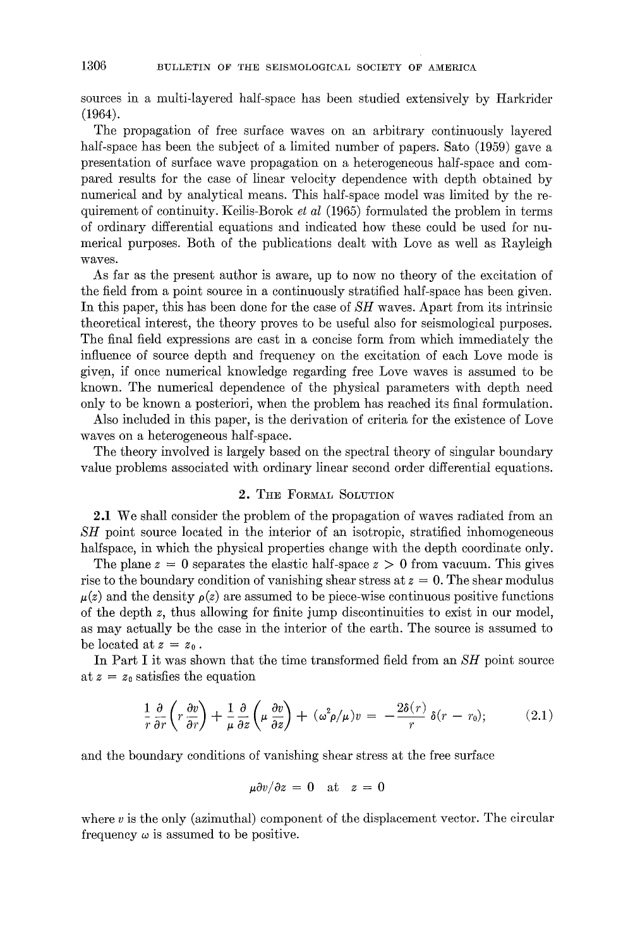sources in a multi-layered half-space has been studied extensively by Harkrider (1964).

The propagation of free surface waves on an arbitrary continuously layered half-space has been the subject of a limited number of papers. Sato (1959) gave a presentation of surface wave propagation on a heterogeneous half-space and compared results for the ease of linear velocity dependence with depth obtained by numerical and by analytical means. This half-space model was limited by the requirement of continuity. Keilis-Borok *et al* (1965) formulated the problem in terms of ordinary differential equations and indicated how these could be used for numerical purposes. Both of the publications dealt with Love as well as Rayleigh waves.

As far as the present author is aware, up to now no theory of the excitation of the field from a point source in a continuously stratified half-space has been given. In this paper, this has been done for the case of *SH* waves. Apart from its intrinsic theoretical interest, the theory proves to be useful also for seismological purposes. The final field expressions are cast in a concise form from which immediately the influence of source depth and frequency on the excitation of each Love mode is given, if once numerical knowledge regarding free Love waves is assumed to be known. The numerical dependence of the physical parameters with depth need only to be known a posteriori, when the problem has reached its final formulation.

Also included in this paper, is the derivation of criteria for the existence of Love waves on a heterogeneous half-space.

The theory involved is largely based on the spectral theory of singular boundary value problems associated with ordinary linear second order differential equations.

## 2. THE FORMAL SOLVTION

2.1 We shall consider the problem of the propagation of waves radiated from an *SH* point source located in the interior of an isotropic, stratified inhomogeneous halfspace, in which the physical properties change with the depth coordinate only.

The plane  $z = 0$  separates the elastic half-space  $z > 0$  from vacuum. This gives rise to the boundary condition of vanishing shear stress at  $z = 0$ . The shear modulus  $\mu(z)$  and the density  $\rho(z)$  are assumed to be piece-wise continuous positive functions of the depth z, thus allowing for finite jump discontinuities to exist in our model, as may actually be the case in the interior of the earth. The source is assumed to be located at  $z = z_0$ .

In Part I it was shown that the time transformed field from an *SH* point source at  $z = z_0$  satisfies the equation

$$
\frac{1}{r}\frac{\partial}{\partial r}\left(r\frac{\partial v}{\partial r}\right) + \frac{1}{\mu}\frac{\partial}{\partial z}\left(\mu\frac{\partial v}{\partial z}\right) + (\omega^2\rho/\mu)v = -\frac{2\delta(r)}{r}\,\delta(r-r_0); \tag{2.1}
$$

and the boundary conditions of vanishing shear stress at the free surface

$$
\mu \partial v / \partial z = 0 \quad \text{at} \quad z = 0
$$

where  $v$  is the only (azimuthal) component of the displacement vector. The circular frequency  $\omega$  is assumed to be positive.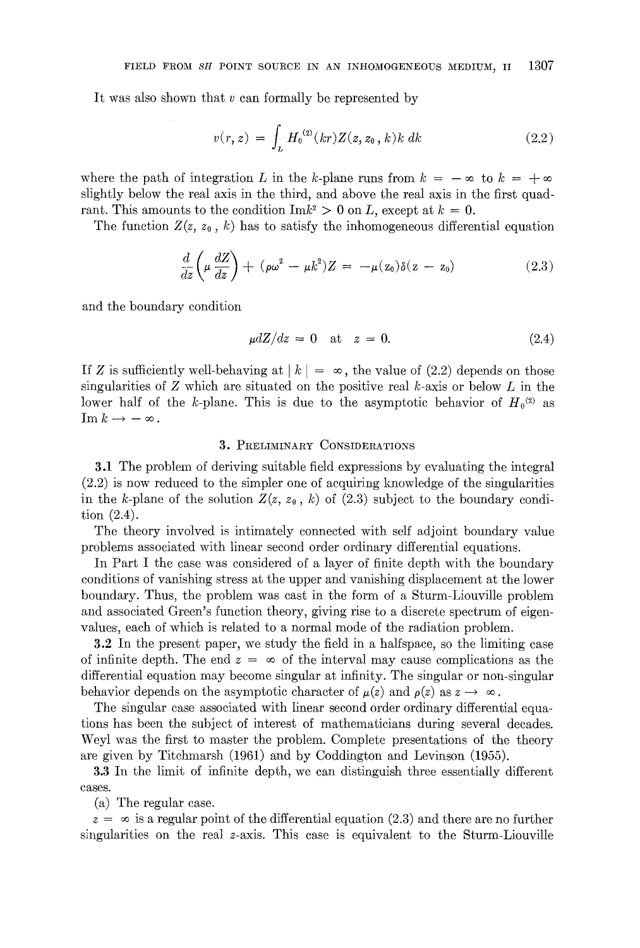It was also shown that v can formally be represented by

$$
v(r, z) = \int_{L} H_0^{(2)}(kr) Z(z, z_0, k) k dk
$$
 (2.2)

where the path of integration L in the k-plane runs from  $k = -\infty$  to  $k = +\infty$ slightly below the real axis in the third, and above the real axis in the first quadrant. This amounts to the condition  ${\rm Im}k^2 > 0$  on L, except at  $k = 0$ .

The function  $Z(z, z_0, k)$  has to satisfy the inhomogeneous differential equation

$$
\frac{d}{dz}\left(\mu \frac{dZ}{dz}\right) + (\rho \omega^2 - \mu k^2)Z = -\mu(z_0)\delta(z - z_0)
$$
\n(2.3)

and the boundary condition

$$
\mu dZ/dz = 0 \quad \text{at} \quad z = 0. \tag{2.4}
$$

If Z is sufficiently well-behaving at  $|k| = \infty$ , the value of (2.2) depends on those singularities of  $Z$  which are situated on the positive real  $k$ -axis or below  $L$  in the lower half of the k-plane. This is due to the asymptotic behavior of  $H_0^{(2)}$  as  $\operatorname{Im} k \to -\infty$ .

## 3. PRELIMINARY CONSIDERATIONS

3.1 The problem of deriving suitable field expressions by evaluating the integral (2.2) is now reduced to the simpler one of acquiring knowledge of the singularities in the k-plane of the solution  $Z(z, z_0, k)$  of (2.3) subject to the boundary condition (2.4).

The theory involved is intimately connected with self adjoint boundary value problems associated with linear second order ordinary differential equations.

In Part I the case was considered of a layer of finite depth with the boundary conditions of vanishing stress at the upper and vanishing displacement at the lower boundary. Thus, the problem was east in the form of a Sturm-Liouville problem and associated Green's function theory, giving rise to a discrete spectrum of eigenvalues, each of which is related to a normal mode of the radiation problem.

3.2 In the present paper, we study the field in a halfspace, so the limiting case of infinite depth. The end  $z = \infty$  of the interval may cause complications as the differential equation may become singular at infinity. The singular or non-singular behavior depends on the asymptotic character of  $\mu(z)$  and  $\rho(z)$  as  $z \to \infty$ .

The singular case associated with linear second order ordinary differential equations has been the subject of interest of mathematicians during several decades. Weyl was the first to master the problem. Complete presentations of the theory are given by Titchmarsh (1961) and by Coddington and Levinson (1955).

3.3 In the limit of infinite depth, we can distinguish three essentially different cases.

(a) The regular case.

 $z = \infty$  is a regular point of the differential equation (2.3) and there are no further singularities on the real z-axis. This case is equivalent to the Sturm-Liouville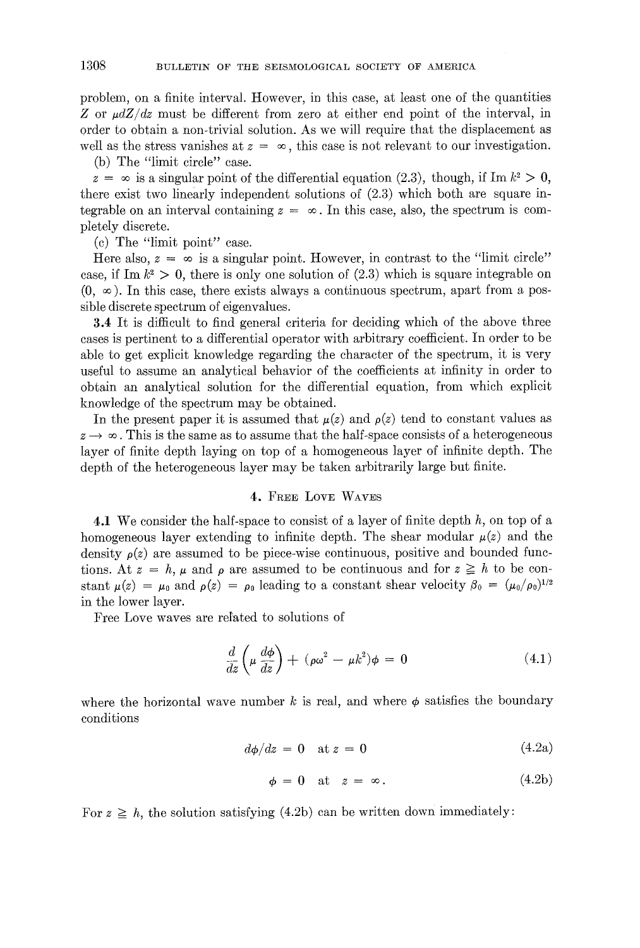problem, on a finite interval. However, in this case, at least one of the quantities Z or  $\mu dZ/dz$  must be different from zero at either end point of the interval, in order to obtain a non-trivial solution. As we will require that the displacement as well as the stress vanishes at  $z = \infty$ , this case is not relevant to our investigation.

(b) The "limit circle" ease.

 $z = \infty$  is a singular point of the differential equation (2.3), though, if Im  $k^2 > 0$ , there exist two linearly independent solutions of (2.3) which both are square integrable on an interval containing  $z = \infty$ . In this case, also, the spectrum is completely discrete.

(c) The "limit point" case.

Here also,  $z = \infty$  is a singular point. However, in contrast to the "limit circle" case, if Im  $k^2 > 0$ , there is only one solution of (2.3) which is square integrable on  $(0, \infty)$ . In this case, there exists always a continuous spectrum, apart from a possible discrete spectrum of eigenvalues.

3.4 It is difficult to find general criteria for deciding which of the above three cases is pertinent to a differential operator with arbitrary coetticient. In order to be able to get explicit knowledge regarding the character of the spectrum, it is very useful to assume an analytical behavior of the coefficients at infinity in order to obtain an analytical solution for the differential equation, from which explicit knowledge of the spectrum may be obtained.

In the present paper it is assumed that  $\mu(z)$  and  $\rho(z)$  tend to constant values as  $z \rightarrow \infty$ . This is the same as to assume that the half-space consists of a heterogeneous layer of finite depth laying on top of a homogeneous layer of infinite depth. The depth of the heterogeneous layer may be taken arbitrarily large but finite.

#### 4. FREE LOVE WAVES

4.1 We consider the half-space to consist of a layer of finite depth h, on top of a homogeneous layer extending to infinite depth. The shear modular  $\mu(z)$  and the density  $\rho(z)$  are assumed to be piece-wise continuous, positive and bounded functions. At  $z = h$ ,  $\mu$  and  $\rho$  are assumed to be continuous and for  $z \geq h$  to be constant  $\mu(z) = \mu_0$  and  $\rho(z) = \rho_0$  leading to a constant shear velocity  $\beta_0 = (\mu_0/\rho_0)^{1/2}$ in the lower layer.

Free Love waves are refated to solutions of

$$
\frac{d}{dz}\left(\mu \frac{d\phi}{dz}\right) + (\rho \omega^2 - \mu k^2)\phi = 0
$$
\n(4.1)

where the horizontal wave number k is real, and where  $\phi$  satisfies the boundary conditions

$$
d\phi/dz = 0 \quad \text{at } z = 0 \tag{4.2a}
$$

$$
\phi = 0 \quad \text{at} \quad z = \infty. \tag{4.2b}
$$

For  $z \geq h$ , the solution satisfying (4.2b) can be written down immediately: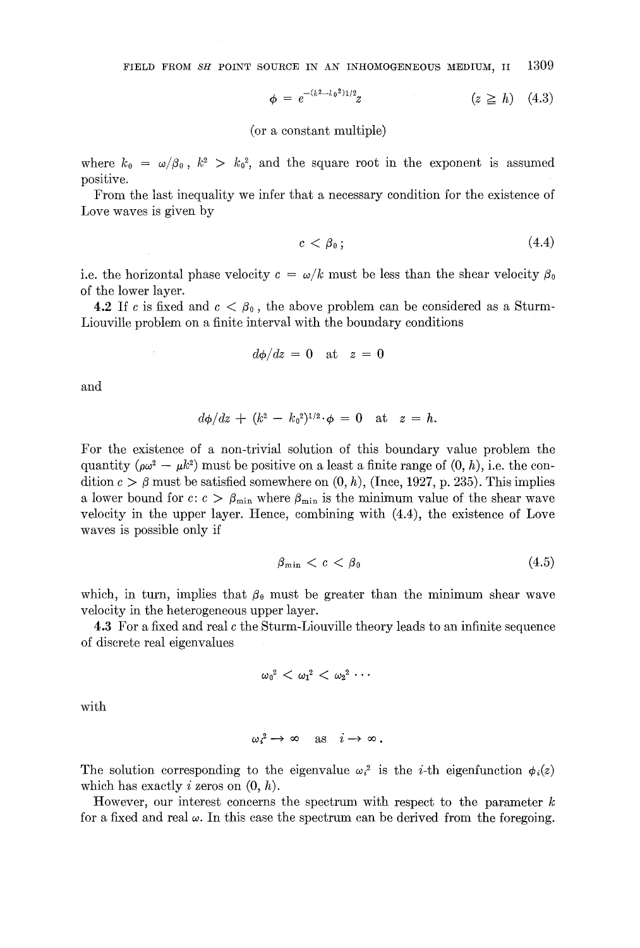FIELD FROM *SH* POINT SOURCE IN AN INHOMOGENEOUS MEDIUM, II 1309

$$
\phi = e^{-(k^2 - \lambda_0^2)1/2}z \qquad (z \ge h) \quad (4.3)
$$

(or a constant multiple)

where  $k_0 = \omega/\beta_0$ ,  $k^2 > k_0^2$ , and the square root in the exponent is assumed positive.

From the last inequality we infer that a necessary condition for the existence of Love waves is given by

$$
c < \beta_0 \tag{4.4}
$$

i.e. the horizontal phase velocity  $c = \omega/k$  must be less than the shear velocity  $\beta_0$ of the lower layer.

**4.2** If c is fixed and  $c < \beta_0$ , the above problem can be considered as a Sturm-Liouville problem on a finite interval with the boundary conditions

$$
d\phi/dz = 0 \quad \text{at} \quad z = 0
$$

and

$$
d\phi/dz + (k^2 - k_0^2)^{1/2} \cdot \phi = 0 \quad \text{at} \quad z = h.
$$

For the existence of a non-trivial solution of this boundary value problem the quantity  $(\rho\omega^2 - \mu k^2)$  must be positive on a least a finite range of  $(0, h)$ , i.e. the condition  $c > \beta$  must be satisfied somewhere on  $(0, h)$ , (Ince, 1927, p. 235). This implies a lower bound for  $c: c > \beta_{\min}$  where  $\beta_{\min}$  is the minimum value of the shear wave velocity in the upper layer. Hence, combining with (4.4), the existence of Love waves is possible only if

$$
\beta_{\min} < c < \beta_0 \tag{4.5}
$$

which, in turn, implies that  $\beta_0$  must be greater than the minimum shear wave velocity in the heterogeneous upper layer.

4.3 For a fixed and real c the Sturm-Liouville theory leads to an infinite sequence of discrete real eigenvalues

$$
{\omega_0}^2<{\omega_1}^2<{\omega_2}^2\cdots
$$

with

$$
\omega_i^2 \to \infty \quad \text{as} \quad i \to \infty.
$$

The solution corresponding to the eigenvalue  $\omega_i^2$  is the *i*-th eigenfunction  $\phi_i(z)$ which has exactly i zeros on  $(0, h)$ .

However, our interest concerns the spectrum with respect to the parameter  $k$ for a fixed and real  $\omega$ . In this case the spectrum can be derived from the foregoing.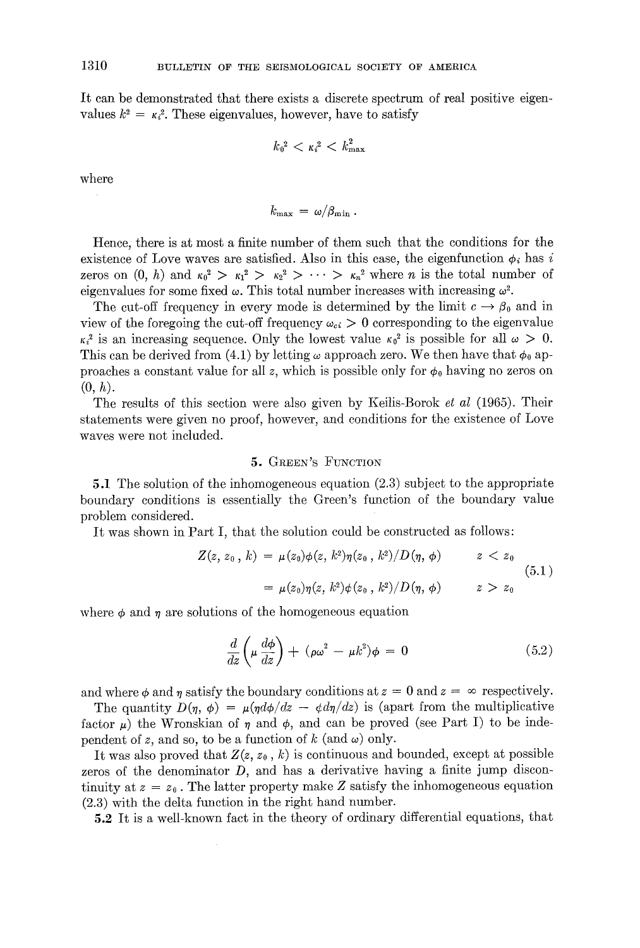It can be demonstrated that there exists a discrete spectrum of real positive eigenvalues  $k^2 = \kappa_i^2$ . These eigenvalues, however, have to satisfy

$$
k_0^2 < \kappa_i^2 < k_{\rm max}^2
$$

where

$$
k_{\rm max} \,=\, \omega/\beta_{\rm min}\,.
$$

Hence, there is at most a finite number of them such that the conditions for the existence of Love waves are satisfied. Also in this case, the eigenfunction  $\phi_i$  has i zeros on  $(0, h)$  and  $\kappa_0^2 > \kappa_1^2 > \kappa_2^2 > \cdots > \kappa_n^2$  where *n* is the total number of eigenvalues for some fixed  $\omega$ . This total number increases with increasing  $\omega^2$ .

The cut-off frequency in every mode is determined by the limit  $c \to \beta_0$  and in view of the foregoing the cut-off frequency  $\omega_{ci} > 0$  corresponding to the eigenvalue  $\kappa_i^2$  is an increasing sequence. Only the lowest value  $\kappa_0^2$  is possible for all  $\omega > 0$ . This can be derived from (4.1) by letting  $\omega$  approach zero. We then have that  $\phi_0$  approaches a constant value for all z, which is possible only for  $\phi_0$  having no zeros on  $(0, h).$ 

The results of this section were also given by Keilis-Borok *et al* (1965). Their statements were given no proof, however, and conditions for the existence of Love waves were not included.

# 5. GREEN'S FUNCTION

5.1 The solution of the inhomogeneous equation (2.3) subject to the appropriate boundary conditions is essentially the Green's function of the boundary value problem considered.

It was shown in Part I, that the solution could be constructed as follows:

$$
Z(z, z_0, k) = \mu(z_0) \phi(z, k^2) \eta(z_0, k^2) / D(\eta, \phi) \qquad z < z_0
$$
  
= 
$$
\mu(z_0) \eta(z, k^2) \phi(z_0, k^2) / D(\eta, \phi) \qquad z > z_0
$$
 (5.1)

where  $\phi$  and  $\eta$  are solutions of the homogeneous equation

$$
\frac{d}{dz}\left(\mu \frac{d\phi}{dz}\right) + (\rho \omega^2 - \mu k^2)\phi = 0
$$
\n(5.2)

and where  $\phi$  and  $\eta$  satisfy the boundary conditions at  $z = 0$  and  $z = \infty$  respectively.

The quantity  $D(\eta, \phi) = \mu(\eta d\phi/dz - \phi d\eta/dz)$  is (apart from the multiplicative factor  $\mu$ ) the Wronskian of  $\eta$  and  $\phi$ , and can be proved (see Part I) to be independent of z, and so, to be a function of k (and  $\omega$ ) only.

It was also proved that  $Z(z, z_0, k)$  is continuous and bounded, except at possible zeros of the denominator  $D$ , and has a derivative having a finite jump discontinuity at  $z = z_0$ . The latter property make Z satisfy the inhomogeneous equation (2.3) with the delta function in the right hand number.

5.2 It is a well-known fact in the theory of ordinary differential equations, that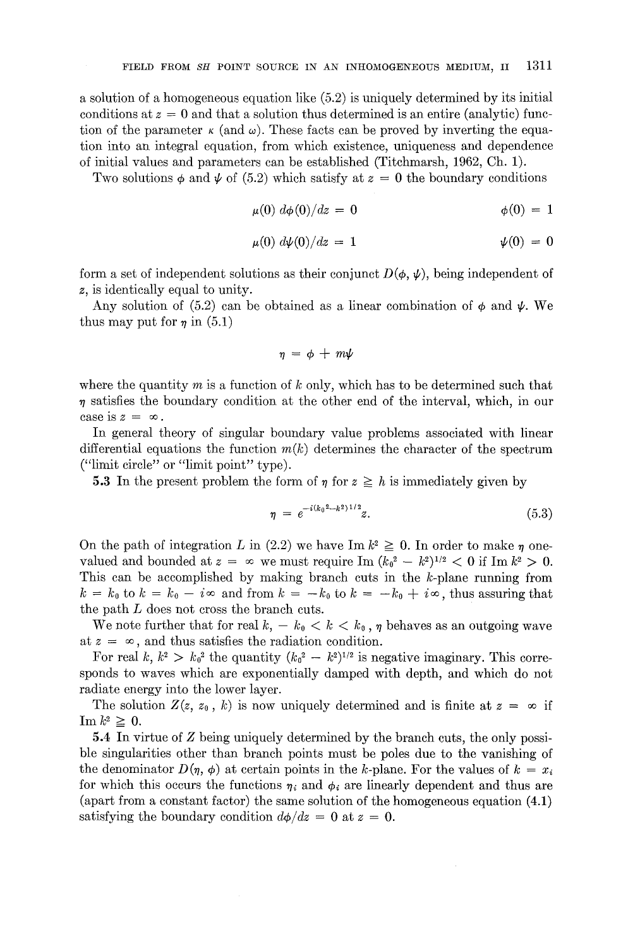a solution of a homogeneous equation like (5.2) is uniquely determined by its initial conditions at  $z = 0$  and that a solution thus determined is an entire (analytic) function of the parameter  $\kappa$  (and  $\omega$ ). These facts can be proved by inverting the equation into an integral equation, from which existence, uniqueness and dependence of initial values and parameters can be established (Titchmarsh, 1962, Ch. 1).

Two solutions  $\phi$  and  $\psi$  of (5.2) which satisfy at  $z = 0$  the boundary conditions

$$
\mu(0) \ d\phi(0)/dz = 0 \qquad \qquad \phi(0) = 1
$$

$$
\mu(0) \ d\psi(0)/dz = 1 \qquad \qquad \psi(0) = 0
$$

form a set of independent solutions as their conjunct  $D(\phi, \psi)$ , being independent of z, is identically equal to unity.

Any solution of (5.2) can be obtained as a linear combination of  $\phi$  and  $\psi$ . We thus may put for  $\eta$  in (5.1)

$$
\eta = \phi + m\psi
$$

where the quantity  $m$  is a function of  $k$  only, which has to be determined such that  $\eta$  satisfies the boundary condition at the other end of the interval, which, in our case is  $z = \infty$ .

In general theory of singular boundary value problems associated with linear differential equations the function  $m(k)$  determines the character of the spectrum ("limit circle" or "limit point" type).

**5.3** In the present problem the form of  $\eta$  for  $z \geq h$  is immediately given by

$$
\eta = e^{-i(k_0^2 - k^2)^{1/2}} z.
$$
\n(5.3)

On the path of integration L in (2.2) we have Im  $k^2 \geq 0$ . In order to make  $\eta$  onevalued and bounded at  $z = \infty$  we must require Im  $(k_0^2 - k^2)^{1/2} < 0$  if Im  $k^2 > 0$ . This can be accomplished by making branch cuts in the  $k$ -plane running from  $k = k_0$  to  $k = k_0 - i\infty$  and from  $k = -k_0$  to  $k = -k_0 + i\infty$ , thus assuring that the path L does not cross the branch cuts.

We note further that for real  $k, -k_0 < k < k_0$ ,  $\eta$  behaves as an outgoing wave at  $z = \infty$ , and thus satisfies the radiation condition.

For real k,  $k^2 > k_0^2$  the quantity  $(k_0^2 - k^2)^{1/2}$  is negative imaginary. This corresponds to waves which are exponentially damped with depth, and which do not radiate energy into the lower layer.

The solution  $Z(z, z_0, k)$  is now uniquely determined and is finite at  $z = \infty$  if  $\operatorname{Im}k^2 \geq 0.$ 

5.4 In virtue of Z being uniquely determined by the branch cuts, the only possible singularities other than branch points must be poles due to the vanishing of the denominator  $D(\eta, \phi)$  at certain points in the k-plane. For the values of  $k = x_i$ for which this occurs the functions  $\eta_i$  and  $\phi_i$  are linearly dependent and thus are (apart from a constant factor) the same solution of the homogeneous equation (4.1) satisfying the boundary condition  $d\phi/dz = 0$  at  $z = 0$ .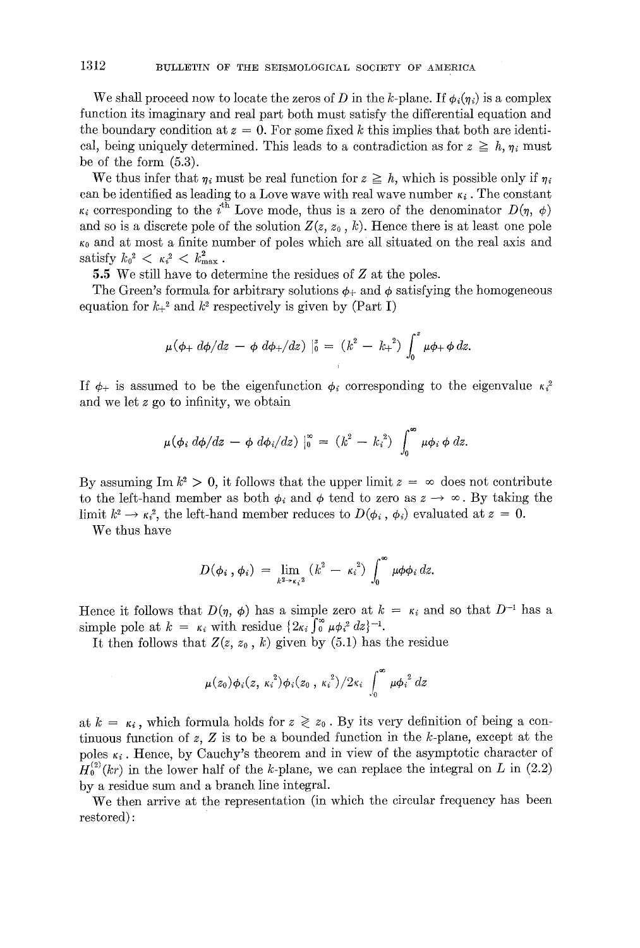We shall proceed now to locate the zeros of D in the k-plane. If  $\phi_i(\eta_i)$  is a complex function its imaginary and real part both must satisfy the differential equation and the boundary condition at  $z = 0$ . For some fixed k this implies that both are identical, being uniquely determined. This leads to a contradiction as for  $z \geq h, \eta_i$  must be of the form (5.3).

We thus infer that  $\eta_i$  must be real function for  $z \geq h$ , which is possible only if  $\eta_i$ can be identified as leading to a Love wave with real wave number  $\kappa_i$ . The constant  $\kappa_i$  corresponding to the i<sup>th</sup> Love mode, thus is a zero of the denominator  $D(\eta, \phi)$ and so is a discrete pole of the solution  $Z(z, z_0, k)$ . Hence there is at least one pole  $\kappa_0$  and at most a finite number of poles which are all situated on the real axis and satisfy  $k_0^2 < \kappa_i^2 < k_{\text{max}}^2$ .

5.5 We still have to determine the residues of Z at the poles.

The Green's formula for arbitrary solutions  $\phi$ <sup>+</sup> and  $\phi$  satisfying the homogeneous equation for  $k_{+}^{2}$  and  $k^{2}$  respectively is given by (Part I)

$$
\mu(\phi_+ d\phi/dz - \phi d\phi_+/dz) \mid_0^z = (k^2 - k_+^2) \int_0^z \mu \phi_+ \phi dz.
$$

If  $\phi_{+}$  is assumed to be the eigenfunction  $\phi_{i}$  corresponding to the eigenvalue  $\kappa_{i}^{2}$ and we let z go to infinity, we obtain

$$
\mu(\phi_i\ d\phi/dz\ -\ \phi\ d\phi_i/dz)\ \vert_0^\infty\ =\ (k^2\ -\ k_i^2)\ \int_0^\infty \mu\phi_i\ \phi\ dz.
$$

By assuming Im  $k^2 > 0$ , it follows that the upper limit  $z = \infty$  does not contribute to the left-hand member as both  $\phi_i$  and  $\phi$  tend to zero as  $z \to \infty$ . By taking the limit  $k^2 \to \kappa^2$ , the left-hand member reduces to  $D(\phi_i, \phi_i)$  evaluated at  $z = 0$ .

We thus have

$$
D(\phi_i,\phi_i) = \lim_{k^2 \to \kappa_i^2} (k^2 - \kappa_i^2) \int_0^\infty \mu \phi \phi_i dz.
$$

Hence it follows that  $D(\eta, \phi)$  has a simple zero at  $k = \kappa_i$  and so that  $D^{-1}$  has a simple pole at  $k = \kappa_i$  with residue  $\{2\kappa_i \int_0^{\infty} \mu \phi_i^2 dz\}^{-1}$ .

It then follows that  $Z(z, z_0, k)$  given by (5.1) has the residue

$$
\mu(z_0)\phi_i(z,\kappa_i^2)\phi_i(z_0,\kappa_i^2)/2\kappa_i\int_0^\infty \mu {\phi_i}^2 dz
$$

at  $k = \kappa_i$ , which formula holds for  $z \geq z_0$ . By its very definition of being a continuous function of z, Z is to be a bounded function in the k-plane, except at the poles  $\kappa_i$ . Hence, by Cauchy's theorem and in view of the asymptotic character of  $H_0^{(2)}(kr)$  in the lower half of the k-plane, we can replace the integral on L in (2.2) by a residue sum and a branch line integral.

We then arrive at the representation (in which the circular frequency has been restored) :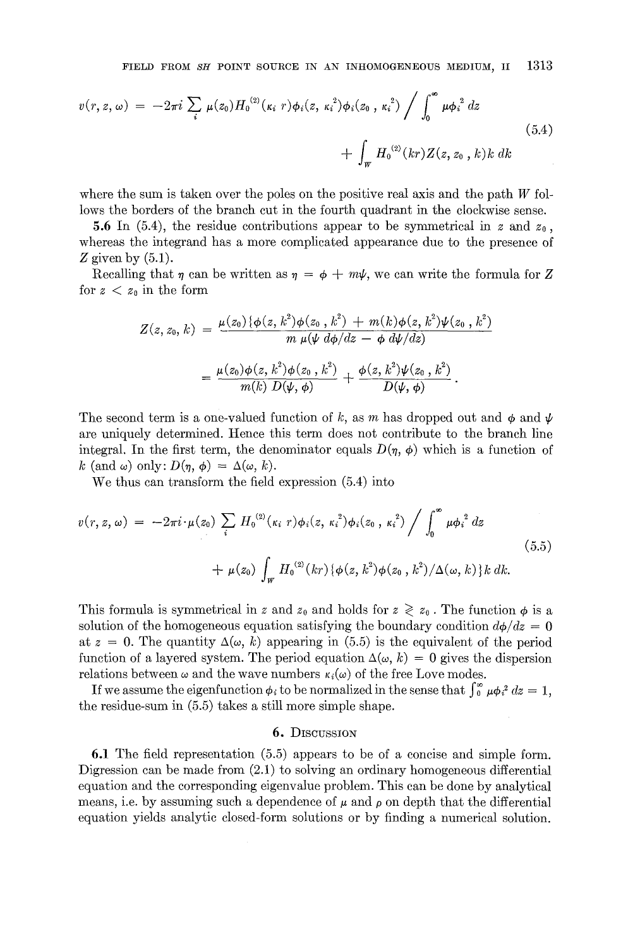$$
v(r, z, \omega) = -2\pi i \sum_{i} \mu(z_0) H_0^{(2)}(\kappa_i r) \phi_i(z, \kappa_i^2) \phi_i(z_0, \kappa_i^2) / \int_0^{\infty} \mu {\phi_i}^2 dz
$$
\n
$$
+ \int_W H_0^{(2)}(kr) Z(z, z_0, k) k dk
$$
\n(5.4)

where the sum is taken over the poles on the positive real axis and the path  $W$  follows the borders of the branch cut in the fourth quadrant in the clockwise sense.

5.6 In (5.4), the residue contributions appear to be symmetrical in z and  $z_0$ , whereas the integrand has a more complicated appearance due to the presence of Z given by  $(5.1)$ .

Recalling that  $\eta$  can be written as  $\eta = \phi + m\psi$ , we can write the formula for Z for  $z < z_0$  in the form

$$
Z(z, z_0, k) = \frac{\mu(z_0) \{ \phi(z, k^2) \phi(z_0, k^2) + m(k) \phi(z, k^2) \psi(z_0, k^2) \}}{m \mu(\psi d\phi/dz - \phi d\psi/dz)}
$$
  
= 
$$
\frac{\mu(z_0) \phi(z, k^2) \phi(z_0, k^2)}{m(k) D(\psi, \phi)} + \frac{\phi(z, k^2) \psi(z_0, k^2)}{D(\psi, \phi)}.
$$

The second term is a one-valued function of k, as m has dropped out and  $\phi$  and  $\psi$ are uniquely determined. Hence this term does not contribute to the branch line integral. In the first term, the denominator equals  $D(\eta, \phi)$  which is a function of k (and  $\omega$ ) only:  $D(\eta, \phi) = \Delta(\omega, k)$ .

We thus can transform the field expression (5.4) into

$$
v(r, z, \omega) = -2\pi i \cdot \mu(z_0) \sum_{i} H_0^{(2)}(\kappa_i r) \phi_i(z, \kappa_i^2) \phi_i(z_0, \kappa_i^2) / \int_0^{\infty} \mu \phi_i^2 dz
$$
  
+ 
$$
\mu(z_0) \int_W H_0^{(2)}(kr) \{ \phi(z, k^2) \phi(z_0, k^2) / \Delta(\omega, k) \} k dk.
$$
 (5.5)

This formula is symmetrical in z and  $z_0$  and holds for  $z \geq z_0$ . The function  $\phi$  is a solution of the homogeneous equation satisfying the boundary condition  $d\phi/dz = 0$ at  $z = 0$ . The quantity  $\Delta(\omega, k)$  appearing in (5.5) is the equivalent of the period function of a layered system. The period equation  $\Delta(\omega, k) = 0$  gives the dispersion relations between  $\omega$  and the wave numbers  $\kappa_i(\omega)$  of the free Love modes.

If we assume the eigenfunction  $\phi_i$  to be normalized in the sense that  $\int_0^{\infty} \mu \phi_i^2 dz = 1$ , the residue-sum in (5.5) takes a still more simple shape.

# 6. DISCUSSION

6.1 The field representation (5.5) appears to be of a concise and simple form. Digression can be made from  $(2.1)$  to solving an ordinary homogeneous differential equation and the corresponding eigenvalue problem. This can be done by analytical means, i.e. by assuming such a dependence of  $\mu$  and  $\rho$  on depth that the differential equation yields analytic closed-form solutions or by finding a numerical solution.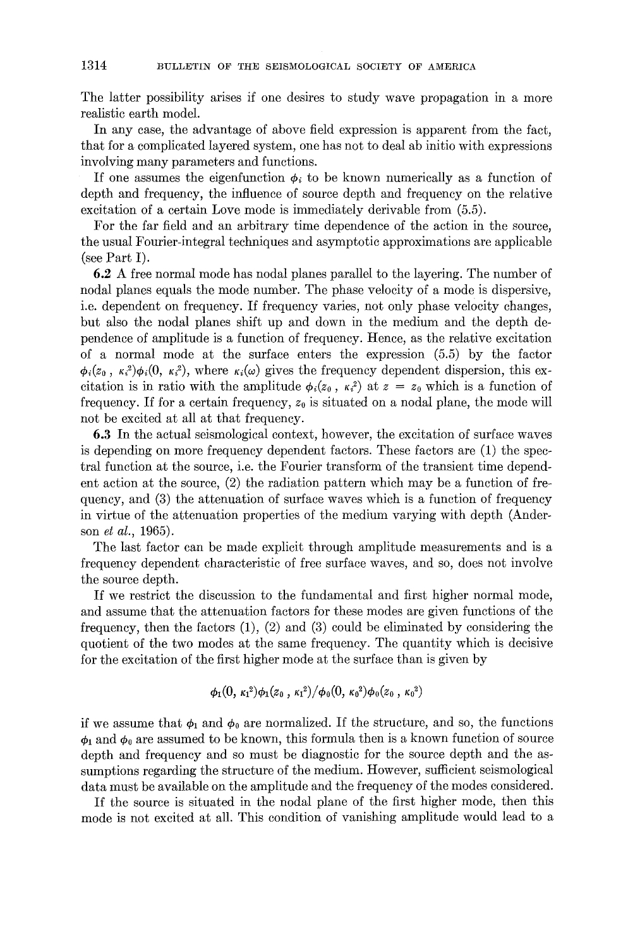The latter possibility arises if one desires to study wave propagation in a more realistic earth model.

In any case, the advantage of above field expression is apparent from the fact, that for a complicated layered system, one has not to deal ab initio with expressions involving many parameters and functions.

If one assumes the eigenfunction  $\phi_i$  to be known numerically as a function of depth and frequency, the influence of source depth and frequency on the relative excitation of a certain Love mode is immediately derivable from (5.5).

For the far field and an arbitrary time dependence of the action in the source, the usual Fourier-integral techniques and asymptotic approximations are applicable (see Part I).

6.2 A free normal mode has nodal planes parallel to the layering. The number of nodal planes equals the mode number. The phase velocity of a mode is dispersive, i.e. dependent on frequency. If frequency varies, not only phase velocity changes, but also the nodal planes shift up and down in the medium and the depth dependence of amplitude is a function of frequency. Hence, as the relative excitation of a normal mode at the surface enters the expression (5.5) by the factor  $\phi_i(z_0, \kappa_i^2)\phi_i(0, \kappa_i^2)$ , where  $\kappa_i(\omega)$  gives the frequency dependent dispersion, this excitation is in ratio with the amplitude  $\phi_i(z_0, \kappa_i^2)$  at  $z = z_0$  which is a function of frequency. If for a certain frequency,  $z_0$  is situated on a nodal plane, the mode will not be excited at all at that frequency.

6.3 In the actual seismological context, however, the excitation of surface waves is depending on more frequency dependent factors. These factors are (1) the spectral function at the source, i.e. the Fourier transform of the transient time dependent action at the source, (2) the radiation pattern which may be a function of frequency, and (3) the attenuation of surface waves which is a function of frequency in virtue of the attenuation properties of the medium varying with depth (Anderson *et al.,* 1965).

The last factor can be made explicit through amplitude measurements and is a frequency dependent characteristic of free surface waves, and so, does not involve the source depth.

If we restrict the discussion to the fundamental and first higher normal mode, and assume that the attenuation factors for these modes are given functions of the frequency, then the factors  $(1)$ ,  $(2)$  and  $(3)$  could be eliminated by considering the quotient of the two modes at the same frequency. The quantity which is decisive for the excitation of the first higher mode at the surface than is given by

$$
\phi_1(0,\,\kappa_1{}^2)\phi_1(z_0\,,\,\kappa_1{}^2)/\phi_0(0,\,\kappa_0{}^2)\phi_0(z_0\,,\,\kappa_0{}^2)
$$

if we assume that  $\phi_1$  and  $\phi_0$  are normalized. If the structure, and so, the functions  $\phi_1$  and  $\phi_0$  are assumed to be known, this formula then is a known function of source depth and frequency and so must be diagnostic for the source depth and the assumptions regarding the structure of the medium. However, sufficient seismological data must be available on the amplitude and the frequency of the modes considered.

If the source is situated in the nodal plane of the first higher mode, then this mode is not excited at all. This condition of vanishing amplitude would lead to a